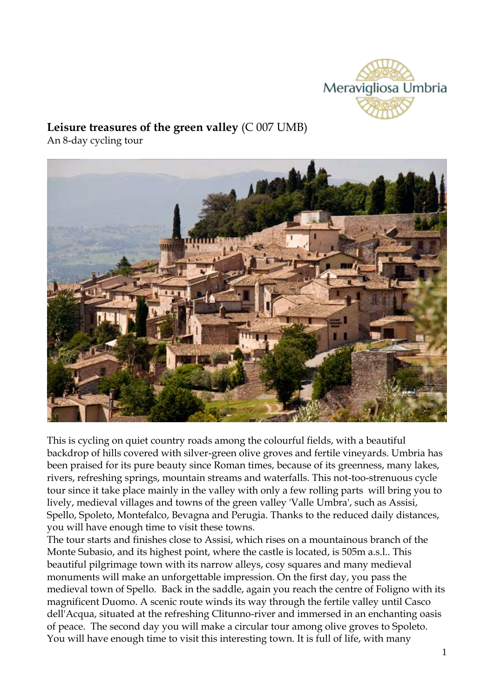

# **Leisure treasures of the green valley** (C 007 UMB)

An 8-day cycling tour



This is cycling on quiet country roads among the colourful fields, with a beautiful backdrop of hills covered with silver-green olive groves and fertile vineyards. Umbria has been praised for its pure beauty since Roman times, because of its greenness, many lakes, rivers, refreshing springs, mountain streams and waterfalls. This not-too-strenuous cycle tour since it take place mainly in the valley with only a few rolling parts will bring you to lively, medieval villages and towns of the green valley 'Valle Umbra', such as Assisi, Spello, Spoleto, Montefalco, Bevagna and Perugia. Thanks to the reduced daily distances, you will have enough time to visit these towns.

The tour starts and finishes close to Assisi, which rises on a mountainous branch of the Monte Subasio, and its highest point, where the castle is located, is 505m a.s.l.. This beautiful pilgrimage town with its narrow alleys, cosy squares and many medieval monuments will make an unforgettable impression. On the first day, you pass the medieval town of Spello. Back in the saddle, again you reach the centre of Foligno with its magnificent Duomo. A scenic route winds its way through the fertile valley until Casco dell'Acqua, situated at the refreshing Clitunno-river and immersed in an enchanting oasis of peace. The second day you will make a circular tour among olive groves to Spoleto. You will have enough time to visit this interesting town. It is full of life, with many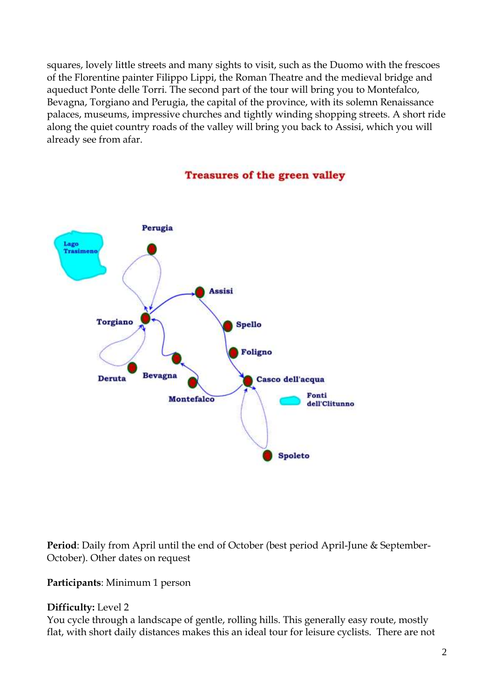squares, lovely little streets and many sights to visit, such as the Duomo with the frescoes of the Florentine painter Filippo Lippi, the Roman Theatre and the medieval bridge and aqueduct Ponte delle Torri. The second part of the tour will bring you to Montefalco, Bevagna, Torgiano and Perugia, the capital of the province, with its solemn Renaissance palaces, museums, impressive churches and tightly winding shopping streets. A short ride along the quiet country roads of the valley will bring you back to Assisi, which you will already see from afar.



## **Treasures of the green valley**

**Period**: Daily from April until the end of October (best period April-June & September-October). Other dates on request

**Participants**: Minimum 1 person

## **Difficulty:** Level 2

You cycle through a landscape of gentle, rolling hills. This generally easy route, mostly flat, with short daily distances makes this an ideal tour for leisure cyclists. There are not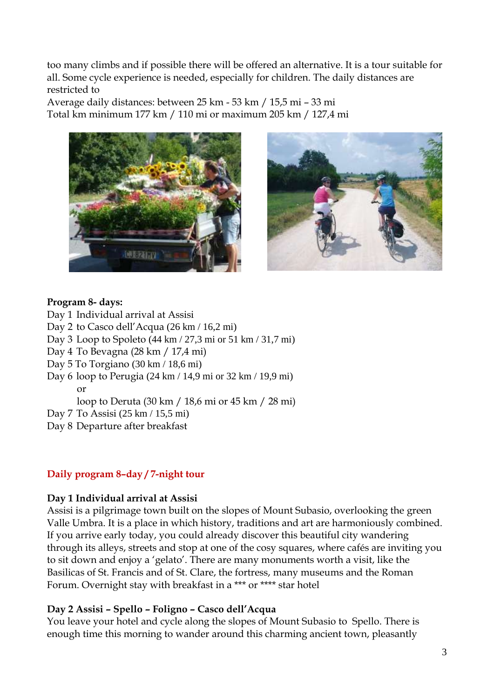too many climbs and if possible there will be offered an alternative. It is a tour suitable for all. Some cycle experience is needed, especially for children. The daily distances are restricted to

Average daily distances: between 25 km - 53 km / 15,5 mi – 33 mi Total km minimum 177 km / 110 mi or maximum 205 km / 127,4 mi





## **Program 8- days:**

Day 1 Individual arrival at Assisi

Day 2 to Casco dell'Acqua (26 km / 16,2 mi)

Day 3 Loop to Spoleto (44 km / 27,3 mi or 51 km / 31,7 mi)

- Day 4 To Bevagna (28 km / 17,4 mi)
- Day 5 To Torgiano (30 km / 18,6 mi)
- Day 6 loop to Perugia (24 km / 14,9 mi or 32 km / 19,9 mi) or

loop to Deruta (30 km / 18,6 mi or 45 km / 28 mi)

- Day 7 To Assisi (25 km / 15,5 mi)
- Day 8 Departure after breakfast

## **Daily program 8–day / 7-night tour**

#### **Day 1 Individual arrival at Assisi**

Assisi is a pilgrimage town built on the slopes of Mount Subasio, overlooking the green Valle Umbra. It is a place in which history, traditions and art are harmoniously combined. If you arrive early today, you could already discover this beautiful city wandering through its alleys, streets and stop at one of the cosy squares, where cafés are inviting you to sit down and enjoy a 'gelato'. There are many monuments worth a visit, like the Basilicas of St. Francis and of St. Clare, the fortress, many museums and the Roman Forum. Overnight stay with breakfast in a \*\*\* or \*\*\*\* star hotel

## **Day 2 Assisi – Spello – Foligno – Casco dell'Acqua**

You leave your hotel and cycle along the slopes of Mount Subasio to Spello. There is enough time this morning to wander around this charming ancient town, pleasantly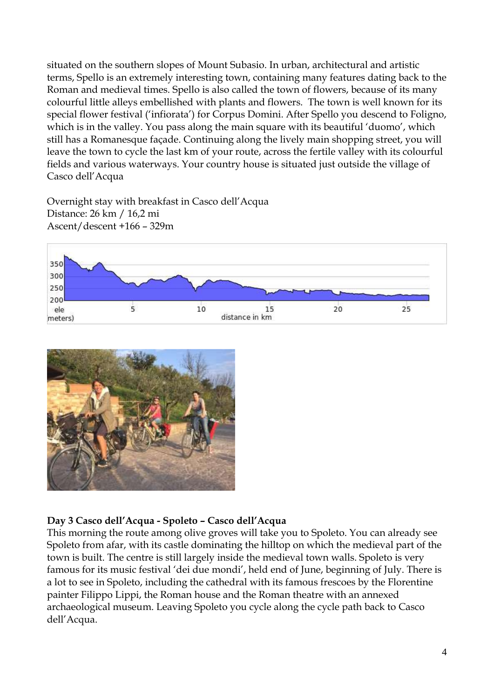situated on the southern slopes of Mount Subasio. In urban, architectural and artistic terms, Spello is an extremely interesting town, containing many features dating back to the Roman and medieval times. Spello is also called the town of flowers, because of its many colourful little alleys embellished with plants and flowers. The town is well known for its special flower festival ('infiorata') for Corpus Domini. After Spello you descend to Foligno, which is in the valley. You pass along the main square with its beautiful 'duomo', which still has a Romanesque façade. Continuing along the lively main shopping street, you will leave the town to cycle the last km of your route, across the fertile valley with its colourful fields and various waterways. Your country house is situated just outside the village of Casco dell'Acqua

Overnight stay with breakfast in Casco dell'Acqua Distance: 26 km / 16,2 mi Ascent/descent +166 – 329m





## **Day 3 Casco dell'Acqua - Spoleto – Casco dell'Acqua**

This morning the route among olive groves will take you to Spoleto. You can already see Spoleto from afar, with its castle dominating the hilltop on which the medieval part of the town is built. The centre is still largely inside the medieval town walls. Spoleto is very famous for its music festival 'dei due mondi', held end of June, beginning of July. There is a lot to see in Spoleto, including the cathedral with its famous frescoes by the Florentine painter Filippo Lippi, the Roman house and the Roman theatre with an annexed archaeological museum. Leaving Spoleto you cycle along the cycle path back to Casco dell'Acqua.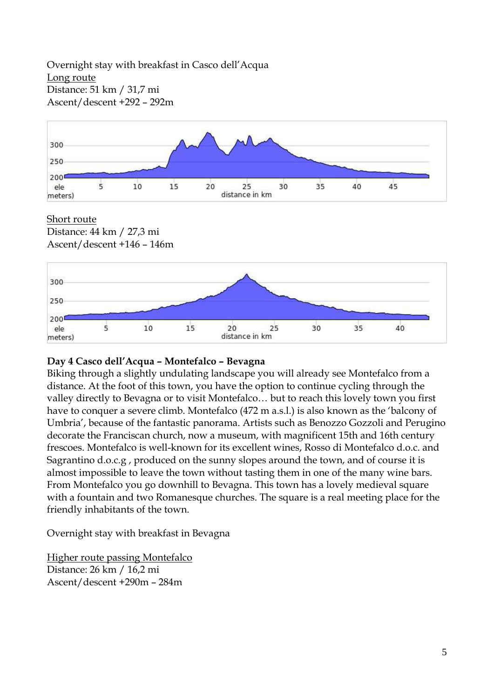Overnight stay with breakfast in Casco dell'Acqua Long route Distance: 51 km / 31,7 mi Ascent/descent +292 – 292m



#### Short route

Distance: 44 km / 27,3 mi Ascent/descent +146 – 146m



## **Day 4 Casco dell'Acqua – Montefalco – Bevagna**

Biking through a slightly undulating landscape you will already see Montefalco from a distance. At the foot of this town, you have the option to continue cycling through the valley directly to Bevagna or to visit Montefalco… but to reach this lovely town you first have to conquer a severe climb. Montefalco (472 m a.s.l.) is also known as the 'balcony of Umbria', because of the fantastic panorama. Artists such as Benozzo Gozzoli and Perugino decorate the Franciscan church, now a museum, with magnificent 15th and 16th century frescoes. Montefalco is well-known for its excellent wines, Rosso di Montefalco d.o.c. and Sagrantino d.o.c.g , produced on the sunny slopes around the town, and of course it is almost impossible to leave the town without tasting them in one of the many wine bars. From Montefalco you go downhill to Bevagna. This town has a lovely medieval square with a fountain and two Romanesque churches. The square is a real meeting place for the friendly inhabitants of the town.

Overnight stay with breakfast in Bevagna

Higher route passing Montefalco Distance: 26 km / 16,2 mi Ascent/descent +290m – 284m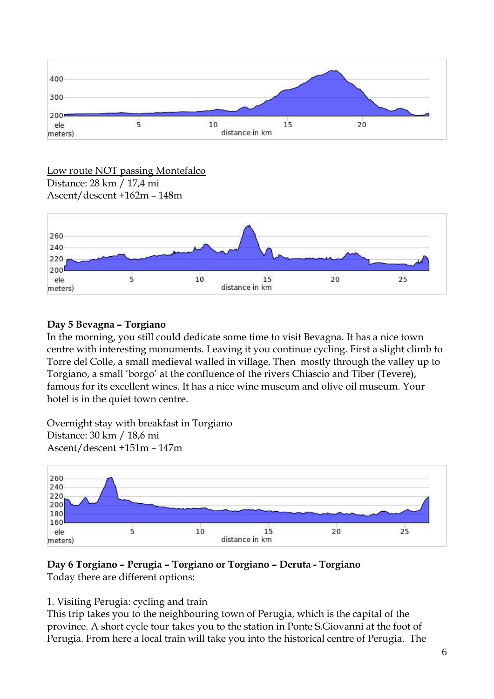

#### Low route NOT passing Montefalco Distance: 28 km / 17,4 mi Ascent/descent +162m – 148m



## **Day 5 Bevagna – Torgiano**

In the morning, you still could dedicate some time to visit Bevagna. It has a nice town centre with interesting monuments. Leaving it you continue cycling. First a slight climb to Torre del Colle, a small medieval walled in village. Then mostly through the valley up to Torgiano, a small 'borgo' at the confluence of the rivers Chiascio and Tiber (Tevere), famous for its excellent wines. It has a nice wine museum and olive oil museum. Your hotel is in the quiet town centre.

Overnight stay with breakfast in Torgiano Distance: 30 km / 18,6 mi Ascent/descent +151m – 147m



## **Day 6 Torgiano – Perugia – Torgiano or Torgiano – Deruta - Torgiano**

Today there are different options:

## 1. Visiting Perugia: cycling and train

This trip takes you to the neighbouring town of Perugia, which is the capital of the province. A short cycle tour takes you to the station in Ponte S.Giovanni at the foot of Perugia. From here a local train will take you into the historical centre of Perugia. The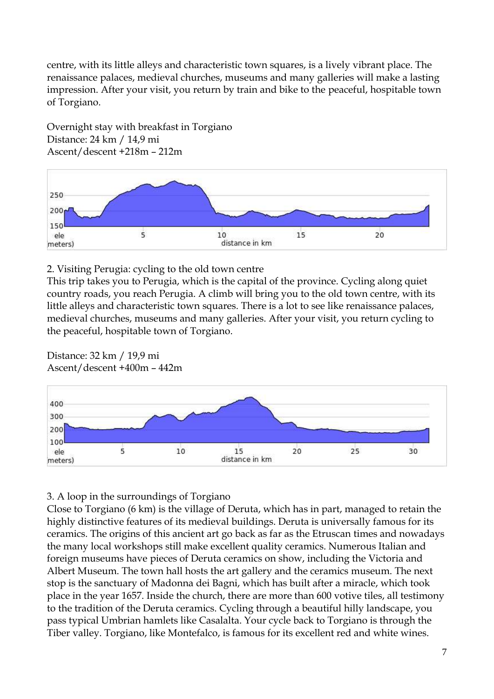centre, with its little alleys and characteristic town squares, is a lively vibrant place. The renaissance palaces, medieval churches, museums and many galleries will make a lasting impression. After your visit, you return by train and bike to the peaceful, hospitable town of Torgiano.

Overnight stay with breakfast in Torgiano Distance: 24 km / 14,9 mi Ascent/descent +218m – 212m



## 2. Visiting Perugia: cycling to the old town centre

This trip takes you to Perugia, which is the capital of the province. Cycling along quiet country roads, you reach Perugia. A climb will bring you to the old town centre, with its little alleys and characteristic town squares. There is a lot to see like renaissance palaces, medieval churches, museums and many galleries. After your visit, you return cycling to the peaceful, hospitable town of Torgiano.

### Distance: 32 km / 19,9 mi Ascent/descent +400m – 442m



## 3. A loop in the surroundings of Torgiano

Close to Torgiano (6 km) is the village of Deruta, which has in part, managed to retain the highly distinctive features of its medieval buildings. Deruta is universally famous for its ceramics. The origins of this ancient art go back as far as the Etruscan times and nowadays the many local workshops still make excellent quality ceramics. Numerous Italian and foreign museums have pieces of Deruta ceramics on show, including the Victoria and Albert Museum. The town hall hosts the art gallery and the ceramics museum. The next stop is the sanctuary of Madonna dei Bagni, which has built after a miracle, which took place in the year 1657. Inside the church, there are more than 600 votive tiles, all testimony to the tradition of the Deruta ceramics. Cycling through a beautiful hilly landscape, you pass typical Umbrian hamlets like Casalalta. Your cycle back to Torgiano is through the Tiber valley. Torgiano, like Montefalco, is famous for its excellent red and white wines.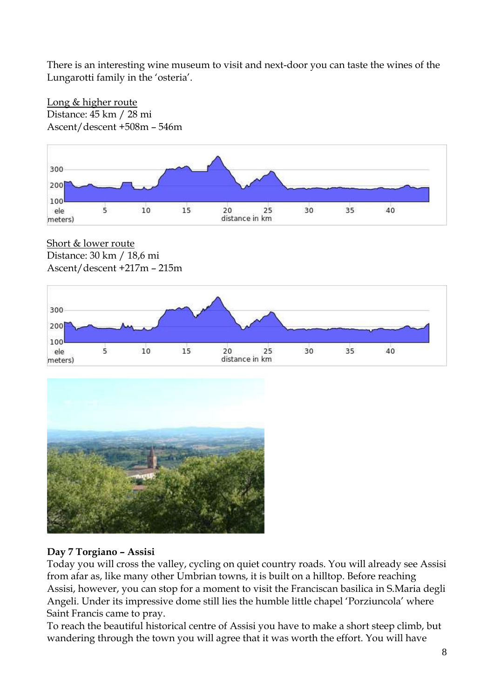There is an interesting wine museum to visit and next-door you can taste the wines of the Lungarotti family in the 'osteria'.



Long & higher route Distance: 45 km / 28 mi Ascent/descent +508m – 546m

Short & lower route Distance: 30 km / 18,6 mi Ascent/descent +217m – 215m





## **Day 7 Torgiano – Assisi**

Today you will cross the valley, cycling on quiet country roads. You will already see Assisi from afar as, like many other Umbrian towns, it is built on a hilltop. Before reaching Assisi, however, you can stop for a moment to visit the Franciscan basilica in S.Maria degli Angeli. Under its impressive dome still lies the humble little chapel 'Porziuncola' where Saint Francis came to pray.

To reach the beautiful historical centre of Assisi you have to make a short steep climb, but wandering through the town you will agree that it was worth the effort. You will have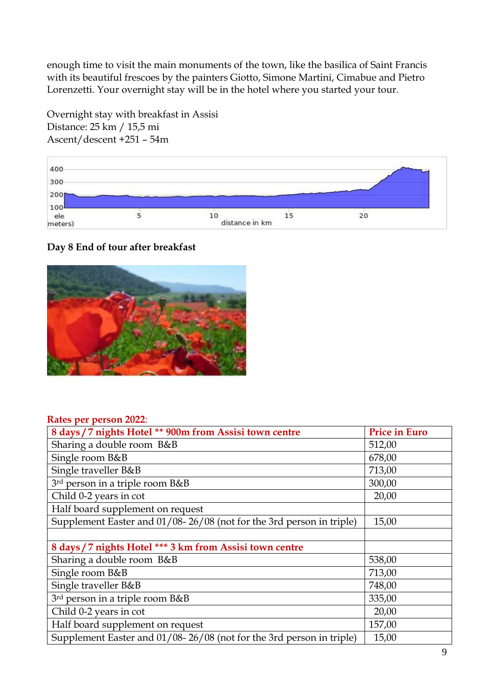enough time to visit the main monuments of the town, like the basilica of Saint Francis with its beautiful frescoes by the painters Giotto, Simone Martini, Cimabue and Pietro Lorenzetti. Your overnight stay will be in the hotel where you started your tour.

400 300 200 100  $\overline{5}$  $10$  $15$  $20$ ele distance in km meters)

# **Day 8 End of tour after breakfast**

Overnight stay with breakfast in Assisi

Distance: 25 km / 15,5 mi Ascent/descent +251 – 54m



#### **Rates per person 2022**:

| 8 days / 7 nights Hotel ** 900m from Assisi town centre              | <b>Price in Euro</b> |
|----------------------------------------------------------------------|----------------------|
| Sharing a double room B&B                                            | 512,00               |
| Single room B&B                                                      | 678,00               |
| Single traveller B&B                                                 | 713,00               |
| 3rd person in a triple room B&B                                      | 300,00               |
| Child 0-2 years in cot                                               | 20,00                |
| Half board supplement on request                                     |                      |
| Supplement Easter and 01/08-26/08 (not for the 3rd person in triple) | 15,00                |
|                                                                      |                      |
| 8 days / 7 nights Hotel *** 3 km from Assisi town centre             |                      |
| Sharing a double room B&B                                            | 538,00               |
| Single room B&B                                                      | 713,00               |
| Single traveller B&B                                                 | 748,00               |
| 3rd person in a triple room B&B                                      | 335,00               |
| Child 0-2 years in cot                                               | 20,00                |
| Half board supplement on request                                     | 157,00               |
| Supplement Easter and 01/08-26/08 (not for the 3rd person in triple) | 15,00                |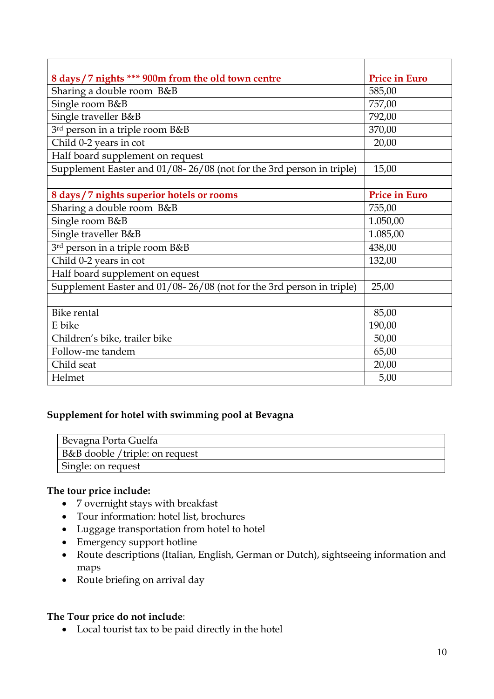| 8 days / 7 nights *** 900m from the old town centre                  | <b>Price in Euro</b> |
|----------------------------------------------------------------------|----------------------|
| Sharing a double room B&B                                            | 585,00               |
| Single room B&B                                                      | 757,00               |
| Single traveller B&B                                                 | 792,00               |
| 3rd person in a triple room B&B                                      | 370,00               |
| Child 0-2 years in cot                                               | 20,00                |
| Half board supplement on request                                     |                      |
| Supplement Easter and 01/08-26/08 (not for the 3rd person in triple) | 15,00                |
|                                                                      |                      |
| 8 days / 7 nights superior hotels or rooms                           | <b>Price in Euro</b> |
| Sharing a double room B&B                                            | 755,00               |
| Single room B&B                                                      | 1.050,00             |
| Single traveller B&B                                                 | 1.085,00             |
| 3rd person in a triple room B&B                                      | 438,00               |
| Child 0-2 years in cot                                               | 132,00               |
| Half board supplement on equest                                      |                      |
| Supplement Easter and 01/08-26/08 (not for the 3rd person in triple) | 25,00                |
|                                                                      |                      |
| <b>Bike rental</b>                                                   | 85,00                |
| E bike                                                               | 190,00               |
| Children's bike, trailer bike                                        | 50,00                |
| Follow-me tandem                                                     | 65,00                |
| Child seat                                                           | 20,00                |
| Helmet                                                               | 5,00                 |

## **Supplement for hotel with swimming pool at Bevagna**

| <sup>1</sup> Bevagna Porta Guelfa |
|-----------------------------------|
| B&B dooble / triple: on request   |
| Single: on request                |

### **The tour price include:**

- 7 overnight stays with breakfast
- Tour information: hotel list, brochures
- Luggage transportation from hotel to hotel
- Emergency support hotline
- Route descriptions (Italian, English, German or Dutch), sightseeing information and maps
- Route briefing on arrival day

#### **The Tour price do not include**:

Local tourist tax to be paid directly in the hotel